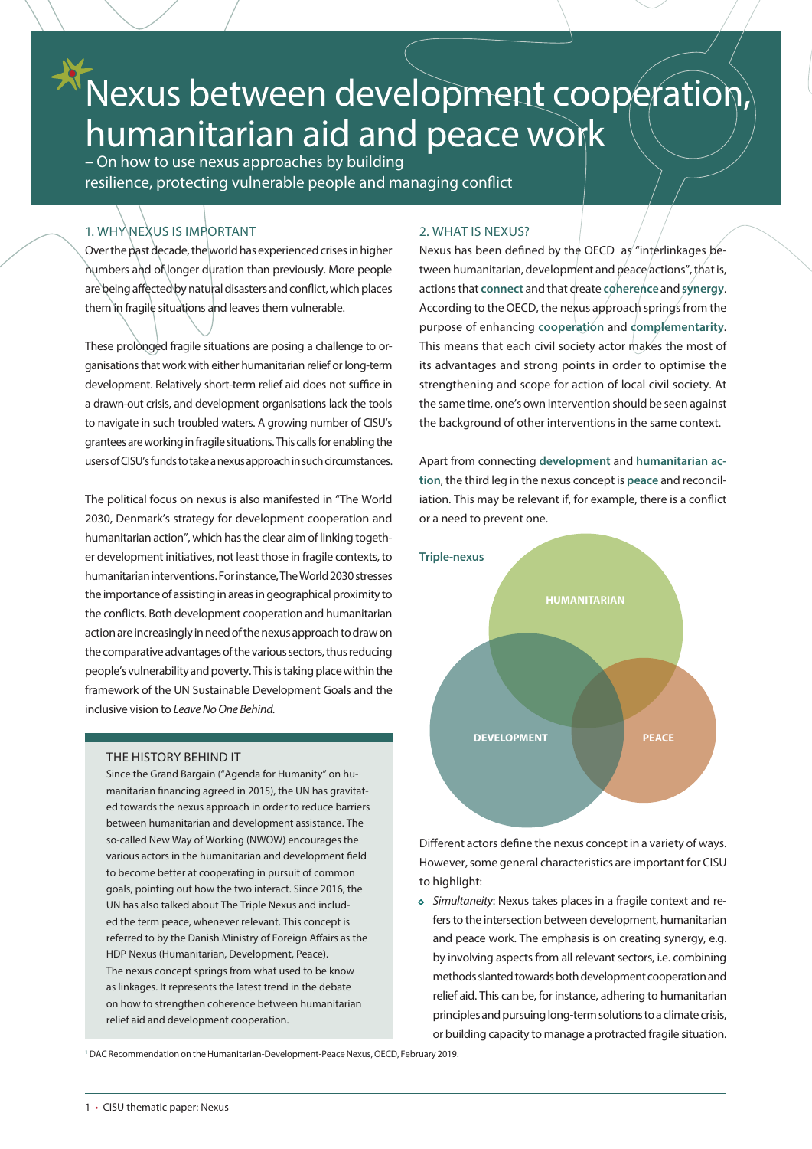# Nexus between development cooperation, humanitarian aid and peace work

– On how to use nexus approaches by building resilience, protecting vulnerable people and managing conflict

# 1. WHYNEXUS IS IMPORTANT

Over the past decade, the world has experienced crises in higher numbers and of longer duration than previously. More people are being affected by natural disasters and conflict, which places them in fragile situations and leaves them vulnerable.

These prolonged fragile situations are posing a challenge to organisations that work with either humanitarian relief or long-term development. Relatively short-term relief aid does not suffice in a drawn-out crisis, and development organisations lack the tools to navigate in such troubled waters. A growing number of CISU's grantees are working in fragile situations. This calls for enabling the users of CISU's funds to take a nexus approach in such circumstances.

The political focus on nexus is also manifested in "The World 2030, Denmark's strategy for development cooperation and humanitarian action", which has the clear aim of linking together development initiatives, not least those in fragile contexts, to humanitarian interventions. For instance, The World 2030 stresses the importance of assisting in areas in geographical proximity to the conflicts. Both development cooperation and humanitarian action are increasingly in need of the nexus approach to draw on the comparative advantages of the various sectors, thus reducing people's vulnerability and poverty. This is taking place within the framework of the UN Sustainable Development Goals and the inclusive vision to *Leave No One Behind.*

#### THE HISTORY BEHIND IT

Since the Grand Bargain ("Agenda for Humanity" on humanitarian financing agreed in 2015), the UN has gravitated towards the nexus approach in order to reduce barriers between humanitarian and development assistance. The so-called New Way of Working (NWOW) encourages the various actors in the humanitarian and development field to become better at cooperating in pursuit of common goals, pointing out how the two interact. Since 2016, the UN has also talked about The Triple Nexus and included the term peace, whenever relevant. This concept is referred to by the Danish Ministry of Foreign Affairs as the HDP Nexus (Humanitarian, Development, Peace). The nexus concept springs from what used to be know as linkages. It represents the latest trend in the debate on how to strengthen coherence between humanitarian relief aid and development cooperation.

### 2. WHAT IS NEXUS?

Nexus has been defined by the OECD as "interlinkages between humanitarian, development and peace actions", that is, actions that **connect** and that create **coherence** and **synergy**. According to the OECD, the nexus approach springs from the purpose of enhancing **cooperation** and **complementarity**. This means that each civil society actor makes the most of its advantages and strong points in order to optimise the strengthening and scope for action of local civil society. At the same time, one's own intervention should be seen against the background of other interventions in the same context.

Apart from connecting **development** and **humanitarian action**, the third leg in the nexus concept is **peace** and reconciliation. This may be relevant if, for example, there is a conflict or a need to prevent one.



Different actors define the nexus concept in a variety of ways. However, some general characteristics are important for CISU to highlight:

**•** *Simultaneity*: Nexus takes places in a fragile context and refers to the intersection between development, humanitarian and peace work. The emphasis is on creating synergy, e.g. by involving aspects from all relevant sectors, i.e. combining methods slanted towards both development cooperation and relief aid. This can be, for instance, adhering to humanitarian principles and pursuing long-term solutions to a climate crisis, or building capacity to manage a protracted fragile situation.

1 DAC Recommendation on the Humanitarian-Development-Peace Nexus, OECD, February 2019.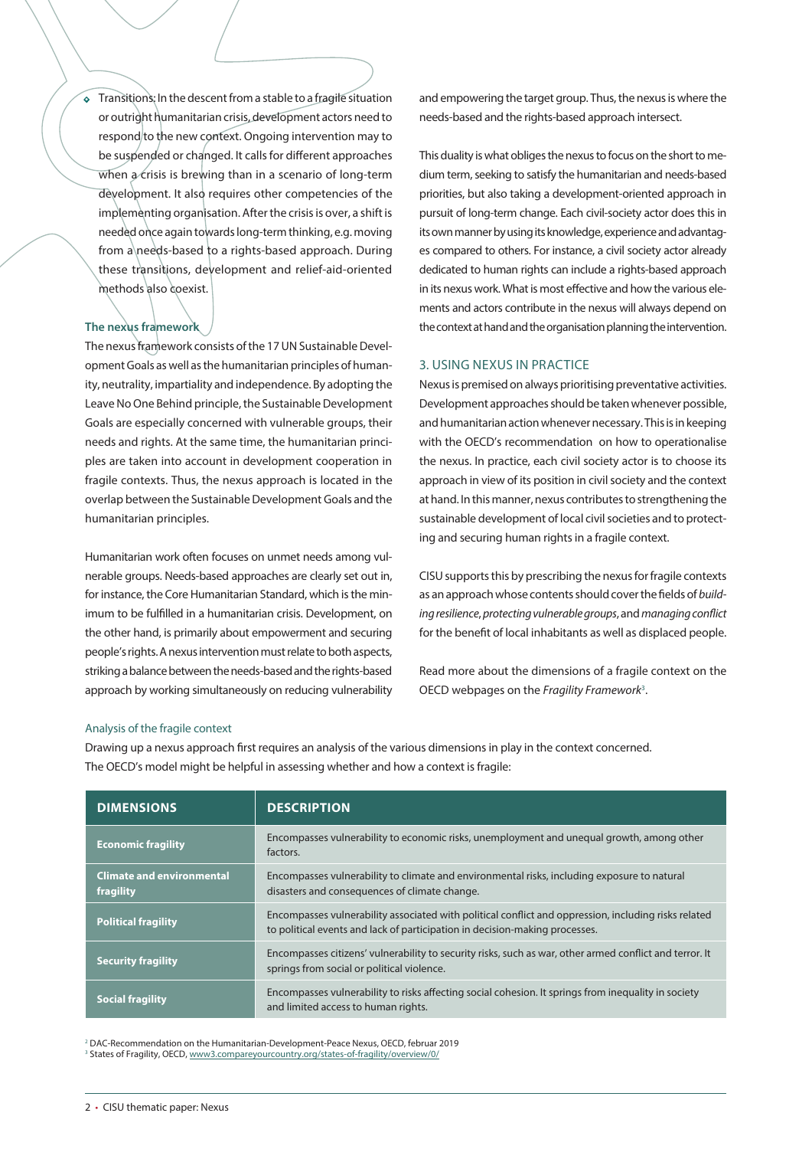**•** Transitions: In the descent from a stable to a fragile situation or outright humanitarian crisis, development actors need to respond to the new context. Ongoing intervention may to be suspended or changed. It calls for different approaches when  $\alpha$  crisis is brewing than in a scenario of long-term development. It also requires other competencies of the implementing organisation. After the crisis is over, a shift is needed once again towards long-term thinking, e.g. moving from a needs-based to a rights-based approach. During these transitions, development and relief-aid-oriented methods also coexist.

# **The nexus framework**

The nexus framework consists of the 17 UN Sustainable Development Goals as well as the humanitarian principles of humanity, neutrality, impartiality and independence. By adopting the Leave No One Behind principle, the Sustainable Development Goals are especially concerned with vulnerable groups, their needs and rights. At the same time, the humanitarian principles are taken into account in development cooperation in fragile contexts. Thus, the nexus approach is located in the overlap between the Sustainable Development Goals and the humanitarian principles.

Humanitarian work often focuses on unmet needs among vulnerable groups. Needs-based approaches are clearly set out in, for instance, the Core Humanitarian Standard, which is the minimum to be fulfilled in a humanitarian crisis. Development, on the other hand, is primarily about empowerment and securing people's rights. A nexus intervention must relate to both aspects, striking a balance between the needs-based and the rights-based approach by working simultaneously on reducing vulnerability and empowering the target group. Thus, the nexus is where the needs-based and the rights-based approach intersect.

This duality is what obliges the nexus to focus on the short to medium term, seeking to satisfy the humanitarian and needs-based priorities, but also taking a development-oriented approach in pursuit of long-term change. Each civil-society actor does this in its own manner by using its knowledge, experience and advantages compared to others. For instance, a civil society actor already dedicated to human rights can include a rights-based approach in its nexus work. What is most effective and how the various elements and actors contribute in the nexus will always depend on the context at hand and the organisation planning the intervention.

## 3. USING NEXUS IN PRACTICE

Nexus is premised on always prioritising preventative activities. Development approaches should be taken whenever possible, and humanitarian action whenever necessary. This is in keeping with the OECD's recommendation on how to operationalise the nexus. In practice, each civil society actor is to choose its approach in view of its position in civil society and the context at hand. In this manner, nexus contributes to strengthening the sustainable development of local civil societies and to protecting and securing human rights in a fragile context.

CISU supports this by prescribing the nexus for fragile contexts as an approach whose contents should cover the fields of *building resilience*, *protecting vulnerable groups*, and *managing conflict* for the benefit of local inhabitants as well as displaced people.

Read more about the dimensions of a fragile context on the OECD webpages on the *Fragility Framework*<sup>3</sup> .

#### Analysis of the fragile context

Drawing up a nexus approach first requires an analysis of the various dimensions in play in the context concerned. The OECD's model might be helpful in assessing whether and how a context is fragile:

| <b>DIMENSIONS</b>                             | <b>DESCRIPTION</b>                                                                                                                                                                  |
|-----------------------------------------------|-------------------------------------------------------------------------------------------------------------------------------------------------------------------------------------|
| <b>Economic fragility</b>                     | Encompasses vulnerability to economic risks, unemployment and unequal growth, among other<br>factors.                                                                               |
| <b>Climate and environmental</b><br>fragility | Encompasses vulnerability to climate and environmental risks, including exposure to natural<br>disasters and consequences of climate change.                                        |
| <b>Political fragility</b>                    | Encompasses vulnerability associated with political conflict and oppression, including risks related<br>to political events and lack of participation in decision-making processes. |
| <b>Security fragility</b>                     | Encompasses citizens' vulnerability to security risks, such as war, other armed conflict and terror. It<br>springs from social or political violence.                               |
| <b>Social fragility</b>                       | Encompasses vulnerability to risks affecting social cohesion. It springs from inequality in society<br>and limited access to human rights.                                          |

2 DAC-Recommendation on the Humanitarian-Development-Peace Nexus, OECD, februar 2019 <sup>3</sup> States of Fragility, OECD, [www3.compareyourcountry.org/states-of-fragility/overview/0/](http://www3.compareyourcountry.org/states-of-fragility/overview/0/)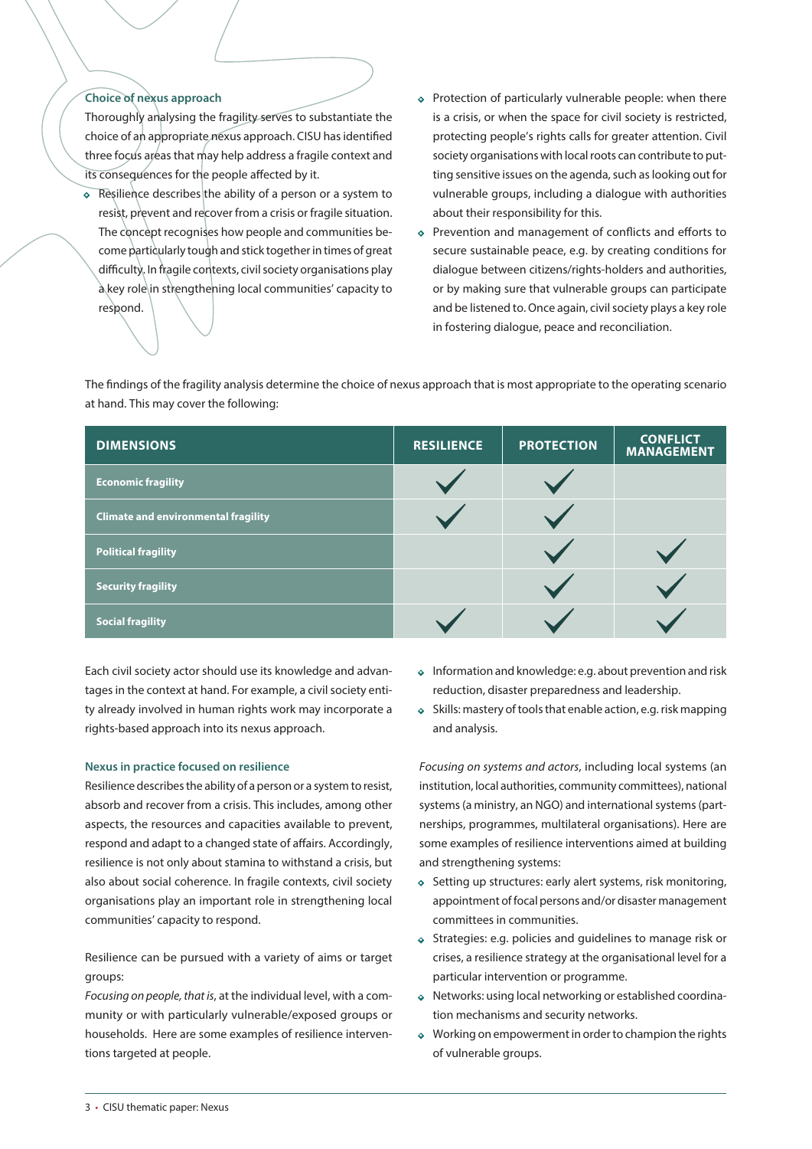## **Choice of nexus approach**

Thoroughly analysing the fragility serves to substantiate the choice of an appropriate nexus approach. CISU has identified three focus areas that may help address a fragile context and its consequences for the people affected by it.

- **•** Resilience describes the ability of a person or a system to resist, prevent and recover from a crisis or fragile situation. The concept recognises how people and communities become particularly tough and stick together in times of great difficulty. In fragile contexts, civil society organisations play a key role in strengthening local communities' capacity to respond.
- **•** Protection of particularly vulnerable people: when there is a crisis, or when the space for civil society is restricted, protecting people's rights calls for greater attention. Civil society organisations with local roots can contribute to putting sensitive issues on the agenda, such as looking out for vulnerable groups, including a dialogue with authorities about their responsibility for this.
- **•** Prevention and management of conflicts and efforts to secure sustainable peace, e.g. by creating conditions for dialogue between citizens/rights-holders and authorities, or by making sure that vulnerable groups can participate and be listened to. Once again, civil society plays a key role in fostering dialogue, peace and reconciliation.

The findings of the fragility analysis determine the choice of nexus approach that is most appropriate to the operating scenario at hand. This may cover the following:

| <b>DIMENSIONS</b>                          | <b>RESILIENCE</b> | <b>PROTECTION</b> | <b>CONFLICT</b><br><b>MANAGEMENT</b> |
|--------------------------------------------|-------------------|-------------------|--------------------------------------|
| <b>Economic fragility</b>                  |                   |                   |                                      |
| <b>Climate and environmental fragility</b> |                   |                   |                                      |
| <b>Political fragility</b>                 |                   |                   |                                      |
| <b>Security fragility</b>                  |                   |                   |                                      |
| <b>Social fragility</b>                    |                   |                   |                                      |

Each civil society actor should use its knowledge and advantages in the context at hand. For example, a civil society entity already involved in human rights work may incorporate a rights-based approach into its nexus approach.

#### **Nexus in practice focused on resilience**

Resilience describes the ability of a person or a system to resist, absorb and recover from a crisis. This includes, among other aspects, the resources and capacities available to prevent, respond and adapt to a changed state of affairs. Accordingly, resilience is not only about stamina to withstand a crisis, but also about social coherence. In fragile contexts, civil society organisations play an important role in strengthening local communities' capacity to respond.

Resilience can be pursued with a variety of aims or target groups:

*Focusing on people, that is*, at the individual level, with a community or with particularly vulnerable/exposed groups or households. Here are some examples of resilience interventions targeted at people.

- **•** Information and knowledge: e.g. about prevention and risk reduction, disaster preparedness and leadership.
- **•** Skills: mastery of tools that enable action, e.g. risk mapping and analysis.

*Focusing on systems and actors*, including local systems (an institution, local authorities, community committees), national systems (a ministry, an NGO) and international systems (partnerships, programmes, multilateral organisations). Here are some examples of resilience interventions aimed at building and strengthening systems:

- **•** Setting up structures: early alert systems, risk monitoring, appointment of focal persons and/or disaster management committees in communities.
- **•** Strategies: e.g. policies and guidelines to manage risk or crises, a resilience strategy at the organisational level for a particular intervention or programme.
- **•** Networks: using local networking or established coordination mechanisms and security networks.
- **•** Working on empowerment in order to champion the rights of vulnerable groups.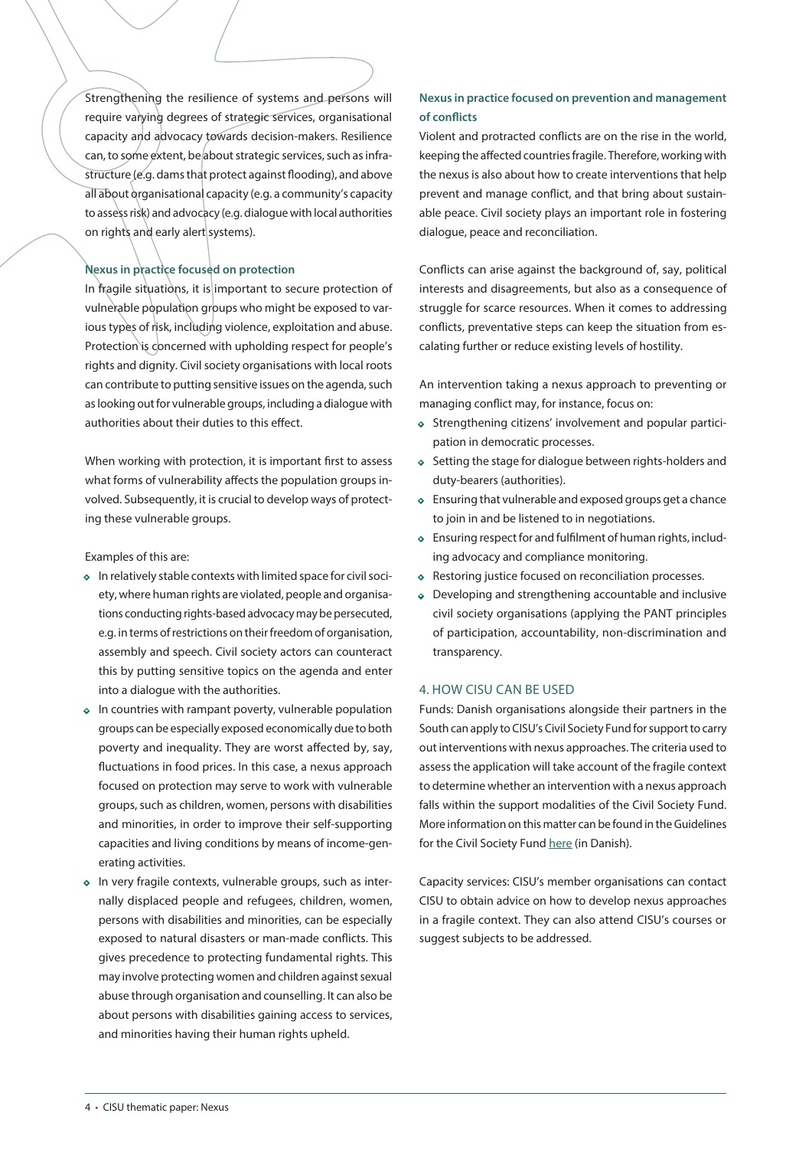Strengthening the resilience of systems and persons will require varying degrees of strategic services, organisational capacity and advocacy towards decision-makers. Resilience can, to some extent, be about strategic services, such as infrastructure (e.g. dams that protect against flooding), and above all about organisational capacity (e.g. a community's capacity to assess risk) and advocacy (e.g. dialogue with local authorities on rights and early alert systems).

# **Nexus in practice focused on protection**

In fragile situations, it is important to secure protection of vulnerable population groups who might be exposed to various types of risk, including violence, exploitation and abuse. Protection is concerned with upholding respect for people's rights and dignity. Civil society organisations with local roots can contribute to putting sensitive issues on the agenda, such as looking out for vulnerable groups, including a dialogue with authorities about their duties to this effect.

When working with protection, it is important first to assess what forms of vulnerability affects the population groups involved. Subsequently, it is crucial to develop ways of protecting these vulnerable groups.

Examples of this are:

- **•** In relatively stable contexts with limited space for civil society, where human rights are violated, people and organisations conducting rights-based advocacy may be persecuted, e.g. in terms of restrictions on their freedom of organisation, assembly and speech. Civil society actors can counteract this by putting sensitive topics on the agenda and enter into a dialogue with the authorities.
- **•** In countries with rampant poverty, vulnerable population groups can be especially exposed economically due to both poverty and inequality. They are worst affected by, say, fluctuations in food prices. In this case, a nexus approach focused on protection may serve to work with vulnerable groups, such as children, women, persons with disabilities and minorities, in order to improve their self-supporting capacities and living conditions by means of income-generating activities.
- **•** In very fragile contexts, vulnerable groups, such as internally displaced people and refugees, children, women, persons with disabilities and minorities, can be especially exposed to natural disasters or man-made conflicts. This gives precedence to protecting fundamental rights. This may involve protecting women and children against sexual abuse through organisation and counselling. It can also be about persons with disabilities gaining access to services, and minorities having their human rights upheld.

# **Nexus in practice focused on prevention and management of conflicts**

Violent and protracted conflicts are on the rise in the world, keeping the affected countries fragile. Therefore, working with the nexus is also about how to create interventions that help prevent and manage conflict, and that bring about sustainable peace. Civil society plays an important role in fostering dialogue, peace and reconciliation.

Conflicts can arise against the background of, say, political interests and disagreements, but also as a consequence of struggle for scarce resources. When it comes to addressing conflicts, preventative steps can keep the situation from escalating further or reduce existing levels of hostility.

An intervention taking a nexus approach to preventing or managing conflict may, for instance, focus on:

- **•** Strengthening citizens' involvement and popular participation in democratic processes.
- **•** Setting the stage for dialogue between rights-holders and duty-bearers (authorities).
- **•** Ensuring that vulnerable and exposed groups get a chance to join in and be listened to in negotiations.
- **•** Ensuring respect for and fulfilment of human rights, including advocacy and compliance monitoring.
- **•** Restoring justice focused on reconciliation processes.
- **•** Developing and strengthening accountable and inclusive civil society organisations (applying the PANT principles of participation, accountability, non-discrimination and transparency.

## 4. HOW CISU CAN BE USED

Funds: Danish organisations alongside their partners in the South can apply to CISU's Civil Society Fund for support to carry out interventions with nexus approaches. The criteria used to assess the application will take account of the fragile context to determine whether an intervention with a nexus approach falls within the support modalities of the Civil Society Fund. More information on this matter can be found in the Guidelines for the Civil Society Fund [here](http://cisu.dk/puljer/civilsamfundspuljen) (in Danish).

Capacity services: CISU's member organisations can contact CISU to obtain advice on how to develop nexus approaches in a fragile context. They can also attend CISU's courses or suggest subjects to be addressed.